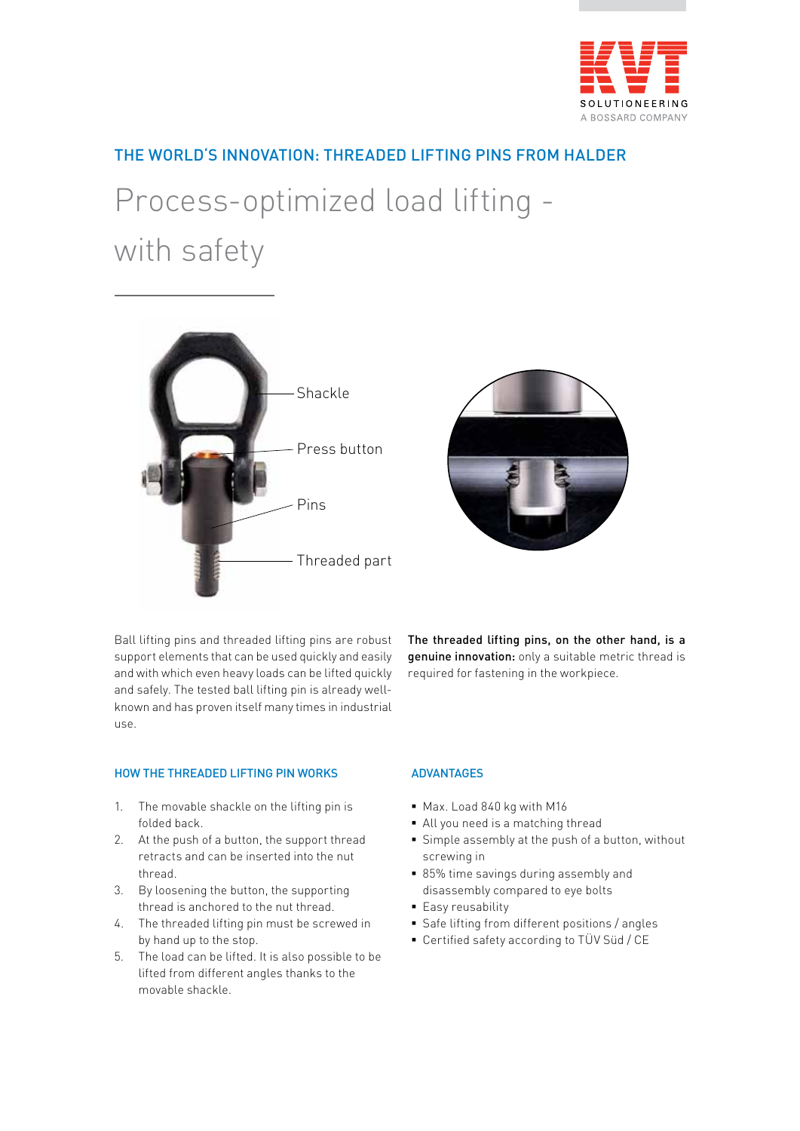

## THE WORLD'S INNOVATION: THREADED LIFTING PINS FROM HALDER

# Process-optimized load lifting with safety





Ball lifting pins and threaded lifting pins are robust support elements that can be used quickly and easily and with which even heavy loads can be lifted quickly and safely. The tested ball lifting pin is already wellknown and has proven itself many times in industrial use.

The threaded lifting pins, on the other hand, is a genuine innovation: only a suitable metric thread is required for fastening in the workpiece.

### HOW THE THREADED LIFTING PIN WORKS

- 1. The movable shackle on the lifting pin is folded back.
- 2. At the push of a button, the support thread retracts and can be inserted into the nut thread.
- 3. By loosening the button, the supporting thread is anchored to the nut thread.
- 4. The threaded lifting pin must be screwed in by hand up to the stop.
- 5. The load can be lifted. It is also possible to be lifted from different angles thanks to the movable shackle.

### ADVANTAGES

- § Max. Load 840 kg with M16
- § All you need is a matching thread
- Simple assembly at the push of a button, without screwing in
- 85% time savings during assembly and disassembly compared to eye bolts
- Easy reusability
- Safe lifting from different positions / angles
- Certified safety according to TÜV Süd / CE